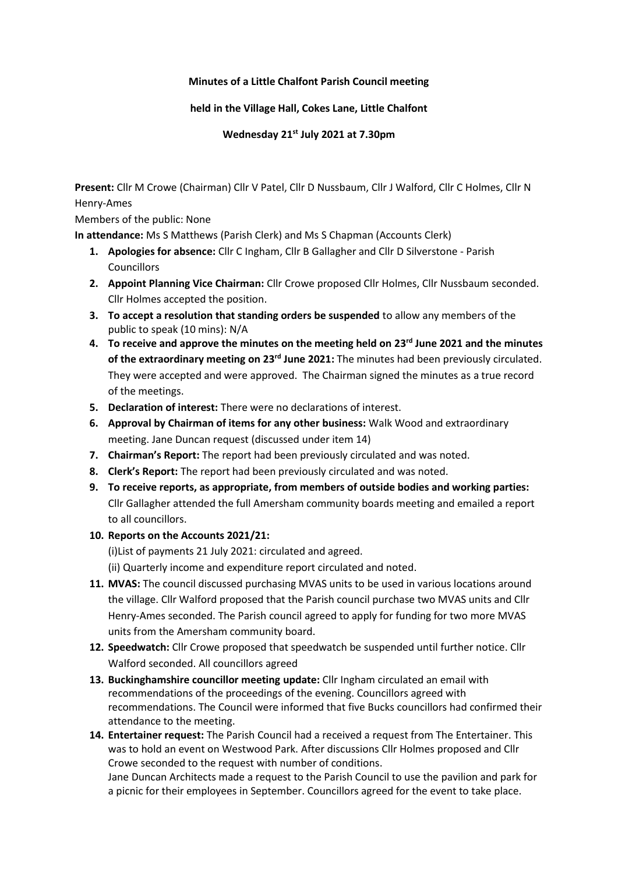## **Minutes of a Little Chalfont Parish Council meeting**

## **held in the Village Hall, Cokes Lane, Little Chalfont**

## **Wednesday 21 st July 2021 at 7.30pm**

**Present:** Cllr M Crowe (Chairman) Cllr V Patel, Cllr D Nussbaum, Cllr J Walford, Cllr C Holmes, Cllr N Henry-Ames

Members of the public: None

**In attendance:** Ms S Matthews (Parish Clerk) and Ms S Chapman (Accounts Clerk)

- **1. Apologies for absence:** Cllr C Ingham, Cllr B Gallagher and Cllr D Silverstone Parish Councillors
- **2. Appoint Planning Vice Chairman:** Cllr Crowe proposed Cllr Holmes, Cllr Nussbaum seconded. Cllr Holmes accepted the position.
- **3. To accept a resolution that standing orders be suspended** to allow any members of the public to speak (10 mins): N/A
- **4. To receive and approve the minutes on the meeting held on 23rd June 2021 and the minutes of the extraordinary meeting on 23rd June 2021:** The minutes had been previously circulated. They were accepted and were approved. The Chairman signed the minutes as a true record of the meetings.
- **5. Declaration of interest:** There were no declarations of interest.
- **6. Approval by Chairman of items for any other business:** Walk Wood and extraordinary meeting. Jane Duncan request (discussed under item 14)
- **7. Chairman's Report:** The report had been previously circulated and was noted.
- **8. Clerk's Report:** The report had been previously circulated and was noted.
- **9. To receive reports, as appropriate, from members of outside bodies and working parties:** Cllr Gallagher attended the full Amersham community boards meeting and emailed a report to all councillors.
- **10. Reports on the Accounts 2021/21:**

(i)List of payments 21 July 2021: circulated and agreed.

(ii) Quarterly income and expenditure report circulated and noted.

- **11. MVAS:** The council discussed purchasing MVAS units to be used in various locations around the village. Cllr Walford proposed that the Parish council purchase two MVAS units and Cllr Henry-Ames seconded. The Parish council agreed to apply for funding for two more MVAS units from the Amersham community board.
- **12. Speedwatch:** Cllr Crowe proposed that speedwatch be suspended until further notice. Cllr Walford seconded. All councillors agreed
- **13. Buckinghamshire councillor meeting update:** Cllr Ingham circulated an email with recommendations of the proceedings of the evening. Councillors agreed with recommendations. The Council were informed that five Bucks councillors had confirmed their attendance to the meeting.
- **14. Entertainer request:** The Parish Council had a received a request from The Entertainer. This was to hold an event on Westwood Park. After discussions Cllr Holmes proposed and Cllr Crowe seconded to the request with number of conditions.

Jane Duncan Architects made a request to the Parish Council to use the pavilion and park for a picnic for their employees in September. Councillors agreed for the event to take place.